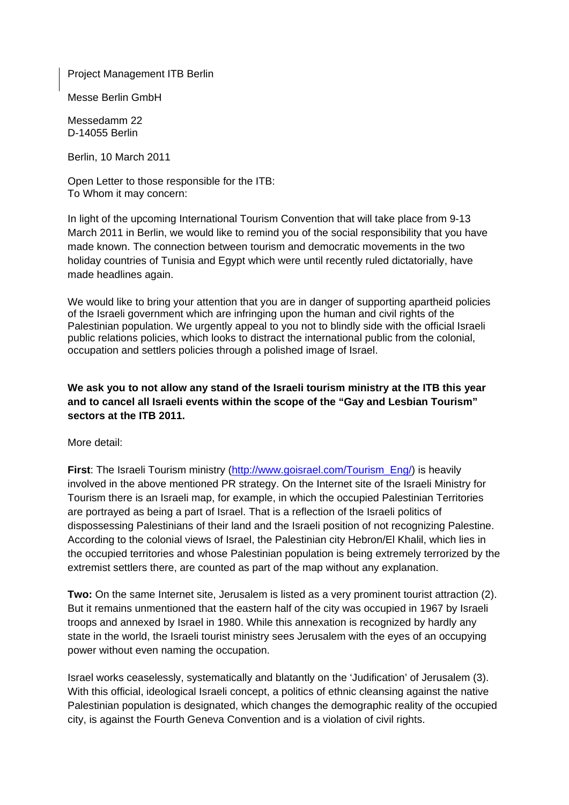Project Management ITB Berlin

Messe Berlin GmbH

Messedamm 22 D-14055 Berlin

Berlin, 10 March 2011

Open Letter to those responsible for the ITB: To Whom it may concern:

In light of the upcoming International Tourism Convention that will take place from 9-13 March 2011 in Berlin, we would like to remind you of the social responsibility that you have made known. The connection between tourism and democratic movements in the two holiday countries of Tunisia and Egypt which were until recently ruled dictatorially, have made headlines again.

We would like to bring your attention that you are in danger of supporting apartheid policies of the Israeli government which are infringing upon the human and civil rights of the Palestinian population. We urgently appeal to you not to blindly side with the official Israeli public relations policies, which looks to distract the international public from the colonial, occupation and settlers policies through a polished image of Israel.

#### **We ask you to not allow any stand of the Israeli tourism ministry at the ITB this year and to cancel all Israeli events within the scope of the "Gay and Lesbian Tourism" sectors at the ITB 2011.**

More detail:

**First**: The Israeli Tourism ministry ([http://www.goisrael.com/Tourism\\_Eng/\)](http://www.goisrael.com/Tourism_Eng/) is heavily involved in the above mentioned PR strategy. On the Internet site of the Israeli Ministry for Tourism there is an Israeli map, for example, in which the occupied Palestinian Territories are portrayed as being a part of Israel. That is a reflection of the Israeli politics of dispossessing Palestinians of their land and the Israeli position of not recognizing Palestine. According to the colonial views of Israel, the Palestinian city Hebron/El Khalil, which lies in the occupied territories and whose Palestinian population is being extremely terrorized by the extremist settlers there, are counted as part of the map without any explanation.

**Two:** On the same Internet site, Jerusalem is listed as a very prominent tourist attraction (2). But it remains unmentioned that the eastern half of the city was occupied in 1967 by Israeli troops and annexed by Israel in 1980. While this annexation is recognized by hardly any state in the world, the Israeli tourist ministry sees Jerusalem with the eyes of an occupying power without even naming the occupation.

Israel works ceaselessly, systematically and blatantly on the 'Judification' of Jerusalem (3). With this official, ideological Israeli concept, a politics of ethnic cleansing against the native Palestinian population is designated, which changes the demographic reality of the occupied city, is against the Fourth Geneva Convention and is a violation of civil rights.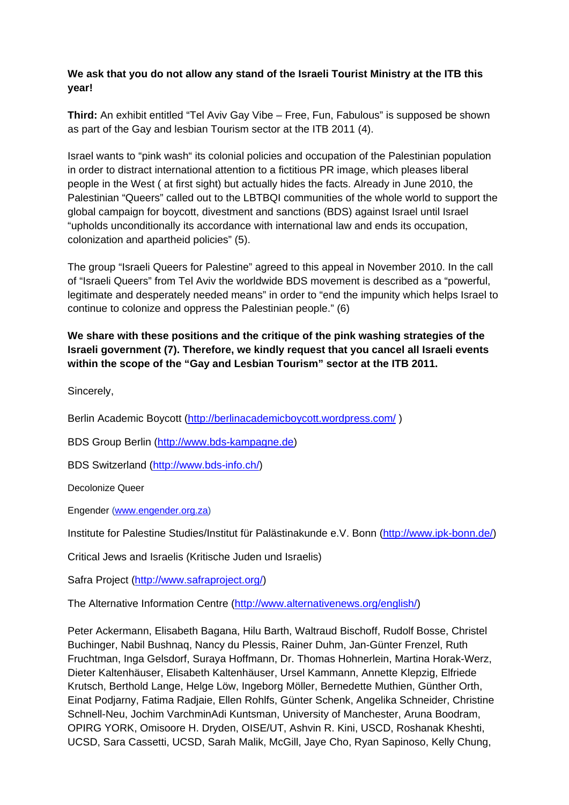### **We ask that you do not allow any stand of the Israeli Tourist Ministry at the ITB this year!**

**Third:** An exhibit entitled "Tel Aviv Gay Vibe – Free, Fun, Fabulous" is supposed be shown as part of the Gay and lesbian Tourism sector at the ITB 2011 (4).

Israel wants to "pink wash" its colonial policies and occupation of the Palestinian population in order to distract international attention to a fictitious PR image, which pleases liberal people in the West ( at first sight) but actually hides the facts. Already in June 2010, the Palestinian "Queers" called out to the LBTBQI communities of the whole world to support the global campaign for boycott, divestment and sanctions (BDS) against Israel until Israel "upholds unconditionally its accordance with international law and ends its occupation, colonization and apartheid policies" (5).

The group "Israeli Queers for Palestine" agreed to this appeal in November 2010. In the call of "Israeli Queers" from Tel Aviv the worldwide BDS movement is described as a "powerful, legitimate and desperately needed means" in order to "end the impunity which helps Israel to continue to colonize and oppress the Palestinian people." (6)

## **We share with these positions and the critique of the pink washing strategies of the Israeli government (7). Therefore, we kindly request that you cancel all Israeli events within the scope of the "Gay and Lesbian Tourism" sector at the ITB 2011.**

Sincerely,

Berlin Academic Boycott (<http://berlinacademicboycott.wordpress.com/>)

BDS Group Berlin ([http://www.bds-kampagne.de](http://www.bds-kampagne.de/))

BDS Switzerland [\(http://www.bds-info.ch/](http://www.bds-info.ch/))

Decolonize Queer

Engender [\(www.engender.org.za\)](http://www.engender.org.za/)

Institute for Palestine Studies/Institut für Palästinakunde e.V. Bonn ([http://www.ipk-bonn.de/\)](http://www.ipk-bonn.de/)

Critical Jews and Israelis (Kritische Juden und Israelis)

Safra Project [\(http://www.safraproject.org/](http://www.safraproject.org/))

The Alternative Information Centre (<http://www.alternativenews.org/english/>)

Peter Ackermann, Elisabeth Bagana, Hilu Barth, Waltraud Bischoff, Rudolf Bosse, Christel Buchinger, Nabil Bushnaq, Nancy du Plessis, Rainer Duhm, Jan-Günter Frenzel, Ruth Fruchtman, Inga Gelsdorf, Suraya Hoffmann, Dr. Thomas Hohnerlein, Martina Horak-Werz, Dieter Kaltenhäuser, Elisabeth Kaltenhäuser, Ursel Kammann, Annette Klepzig, Elfriede Krutsch, Berthold Lange, Helge Löw, Ingeborg Möller, Bernedette Muthien, Günther Orth, Einat Podjarny, Fatima Radjaie, Ellen Rohlfs, Günter Schenk, Angelika Schneider, Christine Schnell-Neu, Jochim VarchminAdi Kuntsman, University of Manchester, Aruna Boodram, OPIRG YORK, Omisoore H. Dryden, OISE/UT, Ashvin R. Kini, USCD, Roshanak Kheshti, UCSD, Sara Cassetti, UCSD, Sarah Malik, McGill, Jaye Cho, Ryan Sapinoso, Kelly Chung,